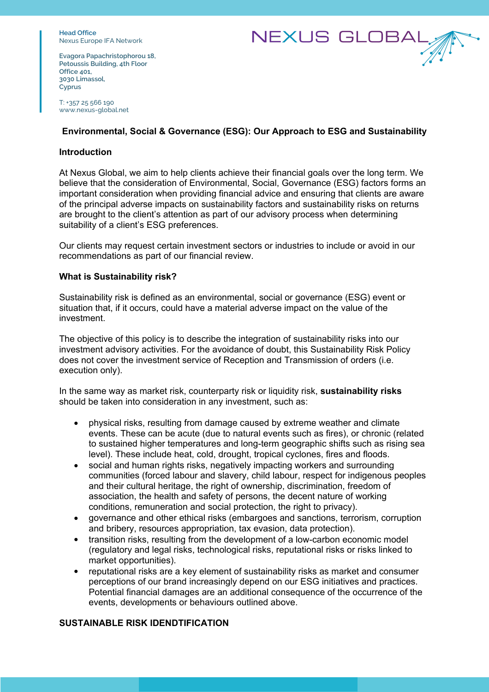**Head Office** Nexus Europe IFA Network



**Evagora Papachristophorou 18, Petoussis Building, 4th Floor Office 401, 3030 Limassol, Cyprus**

T: +357 25 566 190 www.nexus-global.net

## **Environmental, Social & Governance (ESG): Our Approach to ESG and Sustainability**

## **Introduction**

At Nexus Global, we aim to help clients achieve their financial goals over the long term. We believe that the consideration of Environmental, Social, Governance (ESG) factors forms an important consideration when providing financial advice and ensuring that clients are aware of the principal adverse impacts on sustainability factors and sustainability risks on returns are brought to the client's attention as part of our advisory process when determining suitability of a client's ESG preferences.

Our clients may request certain investment sectors or industries to include or avoid in our recommendations as part of our financial review.

## **What is Sustainability risk?**

Sustainability risk is defined as an environmental, social or governance (ESG) event or situation that, if it occurs, could have a material adverse impact on the value of the investment.

The objective of this policy is to describe the integration of sustainability risks into our investment advisory activities. For the avoidance of doubt, this Sustainability Risk Policy does not cover the investment service of Reception and Transmission of orders (i.e. execution only).

In the same way as market risk, counterparty risk or liquidity risk, **sustainability risks** should be taken into consideration in any investment, such as:

- physical risks, resulting from damage caused by extreme weather and climate events. These can be acute (due to natural events such as fires), or chronic (related to sustained higher temperatures and long-term geographic shifts such as rising sea level). These include heat, cold, drought, tropical cyclones, fires and floods.
- social and human rights risks, negatively impacting workers and surrounding communities (forced labour and slavery, child labour, respect for indigenous peoples and their cultural heritage, the right of ownership, discrimination, freedom of association, the health and safety of persons, the decent nature of working conditions, remuneration and social protection, the right to privacy).
- governance and other ethical risks (embargoes and sanctions, terrorism, corruption and bribery, resources appropriation, tax evasion, data protection).
- transition risks, resulting from the development of a low-carbon economic model (regulatory and legal risks, technological risks, reputational risks or risks linked to market opportunities).
- reputational risks are a key element of sustainability risks as market and consumer perceptions of our brand increasingly depend on our ESG initiatives and practices. Potential financial damages are an additional consequence of the occurrence of the events, developments or behaviours outlined above.

## **SUSTAINABLE RISK IDENDTIFICATION**